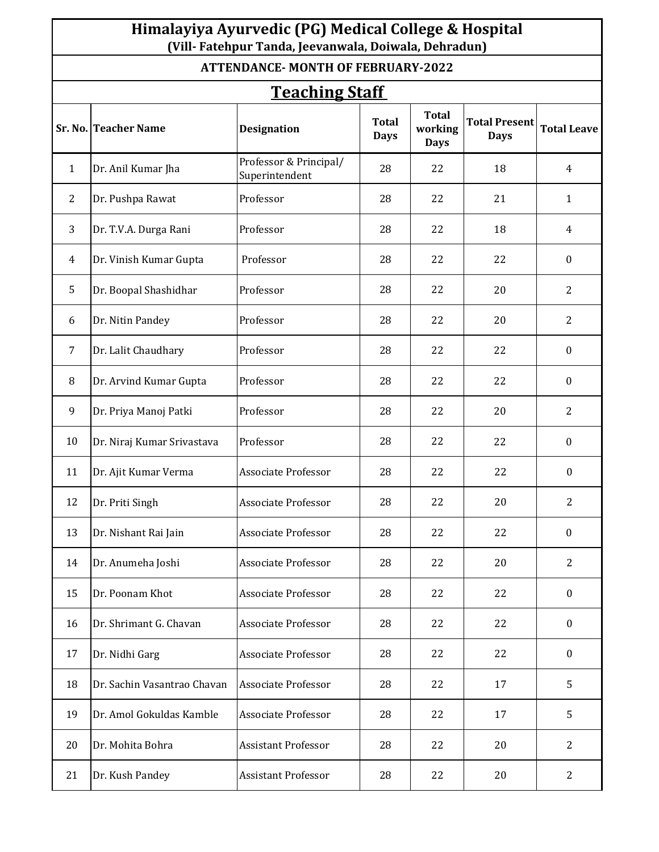## **Himalayiya Ayurvedic (PG) Medical College & Hospital (Vill- Fatehpur Tanda, Jeevanwala, Doiwala, Dehradun)**

## **ATTENDANCE- MONTH OF FEBRUARY-2022**

| <b>Teaching Staff</b> |                             |                                          |                             |                                        |                                     |                    |  |  |  |
|-----------------------|-----------------------------|------------------------------------------|-----------------------------|----------------------------------------|-------------------------------------|--------------------|--|--|--|
|                       | <b>Sr. No. Teacher Name</b> | <b>Designation</b>                       | <b>Total</b><br><b>Days</b> | <b>Total</b><br>working<br><b>Days</b> | <b>Total Present</b><br><b>Days</b> | <b>Total Leave</b> |  |  |  |
| $\mathbf{1}$          | Dr. Anil Kumar Jha          | Professor & Principal/<br>Superintendent | 28                          | 22                                     | 18                                  | $\overline{4}$     |  |  |  |
| 2                     | Dr. Pushpa Rawat            | Professor                                | 28                          | 22                                     | 21                                  | $\mathbf{1}$       |  |  |  |
| 3                     | Dr. T.V.A. Durga Rani       | Professor                                | 28                          | 22                                     | 18                                  | 4                  |  |  |  |
| 4                     | Dr. Vinish Kumar Gupta      | Professor                                | 28                          | 22                                     | 22                                  | $\bf{0}$           |  |  |  |
| 5                     | Dr. Boopal Shashidhar       | Professor                                | 28                          | 22                                     | 20                                  | $\overline{2}$     |  |  |  |
| 6                     | Dr. Nitin Pandey            | Professor                                | 28                          | 22                                     | 20                                  | 2                  |  |  |  |
| $\overline{7}$        | Dr. Lalit Chaudhary         | Professor                                | 28                          | 22                                     | 22                                  | $\boldsymbol{0}$   |  |  |  |
| 8                     | Dr. Arvind Kumar Gupta      | Professor                                | 28                          | 22                                     | 22                                  | $\boldsymbol{0}$   |  |  |  |
| 9                     | Dr. Priya Manoj Patki       | Professor                                | 28                          | 22                                     | 20                                  | 2                  |  |  |  |
| 10                    | Dr. Niraj Kumar Srivastava  | Professor                                | 28                          | 22                                     | 22                                  | $\bf{0}$           |  |  |  |
| 11                    | Dr. Ajit Kumar Verma        | <b>Associate Professor</b>               | 28                          | 22                                     | 22                                  | $\boldsymbol{0}$   |  |  |  |
| 12                    | Dr. Priti Singh             | <b>Associate Professor</b>               | 28                          | 22                                     | 20                                  | 2                  |  |  |  |
| 13                    | Dr. Nishant Rai Jain        | <b>Associate Professor</b>               | 28                          | 22                                     | 22                                  | $\boldsymbol{0}$   |  |  |  |
| 14                    | Dr. Anumeha Joshi           | Associate Professor                      | 28                          | 22                                     | 20                                  | 2                  |  |  |  |
| 15                    | Dr. Poonam Khot             | <b>Associate Professor</b>               | 28                          | 22                                     | 22                                  | $\mathbf{0}$       |  |  |  |
| 16                    | Dr. Shrimant G. Chavan      | <b>Associate Professor</b>               | 28                          | 22                                     | 22                                  | $\boldsymbol{0}$   |  |  |  |
| 17                    | Dr. Nidhi Garg              | <b>Associate Professor</b>               | 28                          | 22                                     | 22                                  | $\boldsymbol{0}$   |  |  |  |
| 18                    | Dr. Sachin Vasantrao Chavan | <b>Associate Professor</b>               | 28                          | 22                                     | 17                                  | 5                  |  |  |  |
| 19                    | Dr. Amol Gokuldas Kamble    | <b>Associate Professor</b>               | 28                          | 22                                     | 17                                  | 5                  |  |  |  |
| 20                    | Dr. Mohita Bohra            | <b>Assistant Professor</b>               | 28                          | 22                                     | 20                                  | $\overline{2}$     |  |  |  |
| 21                    | Dr. Kush Pandey             | Assistant Professor                      | 28                          | 22                                     | 20                                  | $\overline{2}$     |  |  |  |